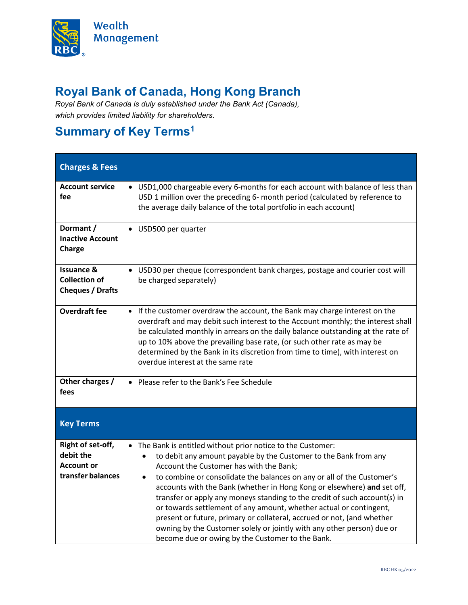

## **Royal Bank of Canada, Hong Kong Branch**

*Royal Bank of Canada is duly established under the Bank Act (Canada), which provides limited liability for shareholders.*

## <span id="page-0-0"></span>**Summary of Key Term[s1](#page-1-0)**

| <b>Charges &amp; Fees</b>                                                |                                                                                                                                                                                                                                                                                                                                                                                                                                                                                                                                                                                                                                                                                                                                  |
|--------------------------------------------------------------------------|----------------------------------------------------------------------------------------------------------------------------------------------------------------------------------------------------------------------------------------------------------------------------------------------------------------------------------------------------------------------------------------------------------------------------------------------------------------------------------------------------------------------------------------------------------------------------------------------------------------------------------------------------------------------------------------------------------------------------------|
| <b>Account service</b><br>fee                                            | • USD1,000 chargeable every 6-months for each account with balance of less than<br>USD 1 million over the preceding 6- month period (calculated by reference to<br>the average daily balance of the total portfolio in each account)                                                                                                                                                                                                                                                                                                                                                                                                                                                                                             |
| Dormant /<br><b>Inactive Account</b><br>Charge                           | USD500 per quarter<br>$\bullet$                                                                                                                                                                                                                                                                                                                                                                                                                                                                                                                                                                                                                                                                                                  |
| <b>Issuance &amp;</b><br><b>Collection of</b><br><b>Cheques / Drafts</b> | USD30 per cheque (correspondent bank charges, postage and courier cost will<br>$\bullet$<br>be charged separately)                                                                                                                                                                                                                                                                                                                                                                                                                                                                                                                                                                                                               |
| <b>Overdraft fee</b>                                                     | If the customer overdraw the account, the Bank may charge interest on the<br>$\bullet$<br>overdraft and may debit such interest to the Account monthly; the interest shall<br>be calculated monthly in arrears on the daily balance outstanding at the rate of<br>up to 10% above the prevailing base rate, (or such other rate as may be<br>determined by the Bank in its discretion from time to time), with interest on<br>overdue interest at the same rate                                                                                                                                                                                                                                                                  |
| Other charges /<br>fees                                                  | • Please refer to the Bank's Fee Schedule                                                                                                                                                                                                                                                                                                                                                                                                                                                                                                                                                                                                                                                                                        |
| <b>Key Terms</b>                                                         |                                                                                                                                                                                                                                                                                                                                                                                                                                                                                                                                                                                                                                                                                                                                  |
| Right of set-off,<br>debit the<br><b>Account or</b><br>transfer balances | The Bank is entitled without prior notice to the Customer:<br>$\bullet$<br>to debit any amount payable by the Customer to the Bank from any<br>$\bullet$<br>Account the Customer has with the Bank;<br>to combine or consolidate the balances on any or all of the Customer's<br>$\bullet$<br>accounts with the Bank (whether in Hong Kong or elsewhere) and set off,<br>transfer or apply any moneys standing to the credit of such account(s) in<br>or towards settlement of any amount, whether actual or contingent,<br>present or future, primary or collateral, accrued or not, (and whether<br>owning by the Customer solely or jointly with any other person) due or<br>become due or owing by the Customer to the Bank. |